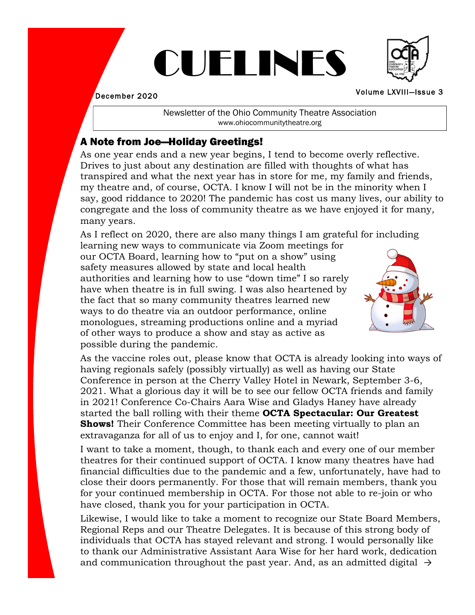# CUELINES

December 2020

Newsletter of the Ohio Community Theatre Association www.ohiocommunitytheatre.org

## A Note from Joe—Holiday Greetings!

As one year ends and a new year begins, I tend to become overly reflective. Drives to just about any destination are filled with thoughts of what has transpired and what the next year has in store for me, my family and friends, my theatre and, of course, OCTA. I know I will not be in the minority when I say, good riddance to 2020! The pandemic has cost us many lives, our ability to congregate and the loss of community theatre as we have enjoyed it for many, many years.

As I reflect on 2020, there are also many things I am grateful for including

learning new ways to communicate via Zoom meetings for our OCTA Board, learning how to "put on a show" using safety measures allowed by state and local health authorities and learning how to use "down time" I so rarely have when theatre is in full swing. I was also heartened by the fact that so many community theatres learned new ways to do theatre via an outdoor performance, online monologues, streaming productions online and a myriad of other ways to produce a show and stay as active as possible during the pandemic.

As the vaccine roles out, please know that OCTA is already looking into ways of having regionals safely (possibly virtually) as well as having our State Conference in person at the Cherry Valley Hotel in Newark, September 3-6, 2021. What a glorious day it will be to see our fellow OCTA friends and family in 2021! Conference Co-Chairs Aara Wise and Gladys Haney have already started the ball rolling with their theme **OCTA Spectacular: Our Greatest Shows!** Their Conference Committee has been meeting virtually to plan an extravaganza for all of us to enjoy and I, for one, cannot wait!

I want to take a moment, though, to thank each and every one of our member theatres for their continued support of OCTA. I know many theatres have had financial difficulties due to the pandemic and a few, unfortunately, have had to close their doors permanently. For those that will remain members, thank you for your continued membership in OCTA. For those not able to re-join or who have closed, thank you for your participation in OCTA.

Likewise, I would like to take a moment to recognize our State Board Members, Regional Reps and our Theatre Delegates. It is because of this strong body of individuals that OCTA has stayed relevant and strong. I would personally like to thank our Administrative Assistant Aara Wise for her hard work, dedication and communication throughout the past year. And, as an admitted digital  $\rightarrow$ 





Volume LXVIIl—Issue 3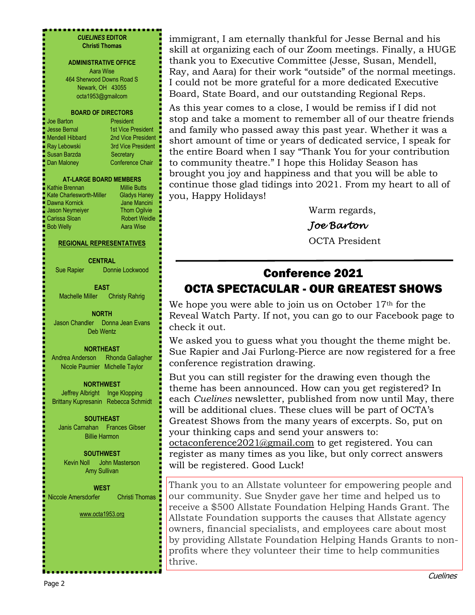#### . . . . . . . . . . . . . . . . . . . *CUELINES* **EDITOR Christi Thomas**

#### **ADMINISTRATIVE OFFICE** Aara Wise

464 Sherwood Downs Road S Newark, OH 43055 octa1953@gmailcom

#### **BOARD OF DIRECTORS**

| Joe Barton      |
|-----------------|
| Jesse Bernal    |
| Mendell Hibbard |
| Ray Lebowski    |
| Susan Barzda    |
| Dan Maloney     |

President 1st Vice President 2nd Vice President 3rd Vice President Secretary Conference Chair

#### **AT-LARGE BOARD MEMBERS**

Kathie Brennan Millie Butts Kate Charlesworth-Miller Gladys Haney Dawna Kornick **Jane Mancini** Jason Neymeiyer **Thom Ogilvie Carissa Sloan** Robert Weidle **Bob Welly Aara Wise** 

#### **REGIONAL REPRESENTATIVES**

#### **CENTRAL**

Sue Rapier Donnie Lockwood

#### **EAST**

Machelle Miller Christy Rahrig

#### **NORTH**

Jason Chandler Donna Jean Evans Deb Wentz

#### **NORTHEAST**

Andrea Anderson Rhonda Gallagher Nicole Paumier Michelle Taylor

#### **NORTHWEST**

Jeffrey Albright Inge Klopping Brittany Kupresanin Rebecca Schmidt

#### **SOUTHEAST**

Janis Carnahan Frances Gibser Billie Harmon

#### **SOUTHWEST** Kevin Noll John Masterson Amy Sullivan

#### **WEST** Niccole Amersdorfer Christi Thomas

www.octa1953.org

immigrant, I am eternally thankful for Jesse Bernal and his skill at organizing each of our Zoom meetings. Finally, a HUGE thank you to Executive Committee (Jesse, Susan, Mendell, Ray, and Aara) for their work "outside" of the normal meetings. I could not be more grateful for a more dedicated Executive Board, State Board, and our outstanding Regional Reps.

As this year comes to a close, I would be remiss if I did not stop and take a moment to remember all of our theatre friends and family who passed away this past year. Whether it was a short amount of time or years of dedicated service, I speak for the entire Board when I say "Thank You for your contribution to community theatre." I hope this Holiday Season has brought you joy and happiness and that you will be able to continue those glad tidings into 2021. From my heart to all of you, Happy Holidays!

Warm regards,

## *Joe Barton*

OCTA President

## Conference 2021 OCTA SPECTACULAR - OUR GREATEST SHOWS

We hope you were able to join us on October 17<sup>th</sup> for the Reveal Watch Party. If not, you can go to our Facebook page to check it out.

We asked you to guess what you thought the theme might be. Sue Rapier and Jai Furlong-Pierce are now registered for a free conference registration drawing.

But you can still register for the drawing even though the theme has been announced. How can you get registered? In each *Cuelines* newsletter, published from now until May, there will be additional clues. These clues will be part of OCTA's Greatest Shows from the many years of excerpts. So, put on your thinking caps and send your answers to:

octaconference2021@gmail.com to get registered. You can register as many times as you like, but only correct answers will be registered. Good Luck!

Thank you to an Allstate volunteer for empowering people and our community. Sue Snyder gave her time and helped us to receive a \$500 Allstate Foundation Helping Hands Grant. The Allstate Foundation supports the causes that Allstate agency owners, financial specialists, and employees care about most by providing Allstate Foundation Helping Hands Grants to nonprofits where they volunteer their time to help communities thrive.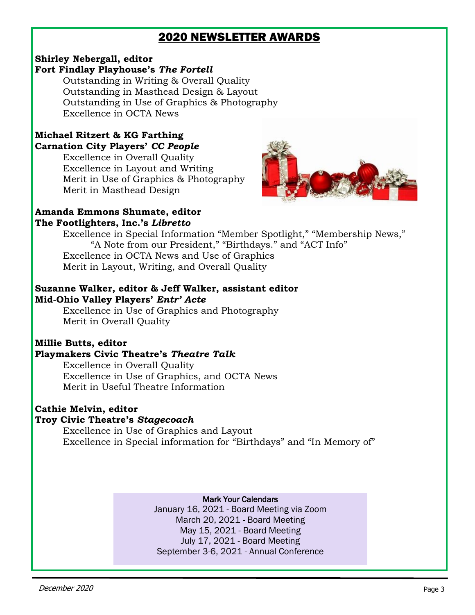## 2020 NEWSLETTER AWARDS

#### **Shirley Nebergall, editor Fort Findlay Playhouse's** *The Fortell*

Outstanding in Writing & Overall Quality Outstanding in Masthead Design & Layout Outstanding in Use of Graphics & Photography Excellence in OCTA News

## **Michael Ritzert & KG Farthing Carnation City Players'** *CC People*

Excellence in Overall Quality Excellence in Layout and Writing Merit in Use of Graphics & Photography Merit in Masthead Design



#### **Amanda Emmons Shumate, editor The Footlighters, Inc.'s** *Libretto*

Excellence in Special Information "Member Spotlight," "Membership News," "A Note from our President," "Birthdays." and "ACT Info" Excellence in OCTA News and Use of Graphics Merit in Layout, Writing, and Overall Quality

#### **Suzanne Walker, editor & Jeff Walker, assistant editor Mid-Ohio Valley Players'** *Entr' Acte*

Excellence in Use of Graphics and Photography Merit in Overall Quality

## **Millie Butts, editor**

#### **Playmakers Civic Theatre's** *Theatre Talk*

Excellence in Overall Quality Excellence in Use of Graphics, and OCTA News Merit in Useful Theatre Information

#### **Cathie Melvin, editor Troy Civic Theatre's** *Stagecoach*

Excellence in Use of Graphics and Layout Excellence in Special information for "Birthdays" and "In Memory of"

#### Mark Your Calendars

January 16, 2021 - Board Meeting via Zoom March 20, 2021 - Board Meeting May 15, 2021 - Board Meeting July 17, 2021 - Board Meeting September 3-6, 2021 - Annual Conference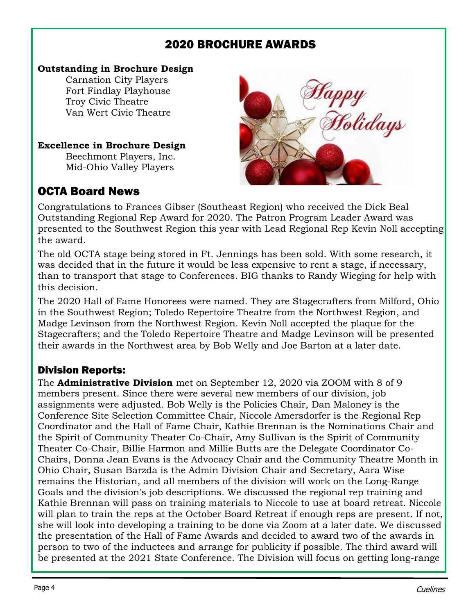## 2020 BROCHURE AWARDS

### **Outstanding in Brochure Design**

Carnation City Players Fort Findlay Playhouse Troy Civic Theatre Van Wert Civic Theatre

### **Excellence in Brochure Design**

Beechmont Players, Inc. Mid-Ohio Valley Players

## OCTA Board News



Congratulations to Frances Gibser (Southeast Region) who received the Dick Beal Outstanding Regional Rep Award for 2020. The Patron Program Leader Award was presented to the Southwest Region this year with Lead Regional Rep Kevin Noll accepting the award.

The old OCTA stage being stored in Ft. Jennings has been sold. With some research, it was decided that in the future it would be less expensive to rent a stage, if necessary, than to transport that stage to Conferences. BIG thanks to Randy Wieging for help with this decision.

The 2020 Hall of Fame Honorees were named. They are Stagecrafters from Milford, Ohio in the Southwest Region; Toledo Repertoire Theatre from the Northwest Region, and Madge Levinson from the Northwest Region. Kevin Noll accepted the plaque for the Stagecrafters; and the Toledo Repertoire Theatre and Madge Levinson will be presented their awards in the Northwest area by Bob Welly and Joe Barton at a later date.

## Division Reports:

The **Administrative Division** met on September 12, 2020 via ZOOM with 8 of 9 members present. Since there were several new members of our division, job assignments were adjusted. Bob Welly is the Policies Chair, Dan Maloney is the Conference Site Selection Committee Chair, Niccole Amersdorfer is the Regional Rep Coordinator and the Hall of Fame Chair, Kathie Brennan is the Nominations Chair and the Spirit of Community Theater Co-Chair, Amy Sullivan is the Spirit of Community Theater Co-Chair, Billie Harmon and Millie Butts are the Delegate Coordinator Co-Chairs, Donna Jean Evans is the Advocacy Chair and the Community Theatre Month in Ohio Chair, Susan Barzda is the Admin Division Chair and Secretary, Aara Wise remains the Historian, and all members of the division will work on the Long-Range Goals and the division's job descriptions. We discussed the regional rep training and Kathie Brennan will pass on training materials to Niccole to use at board retreat. Niccole will plan to train the reps at the October Board Retreat if enough reps are present. If not, she will look into developing a training to be done via Zoom at a later date. We discussed the presentation of the Hall of Fame Awards and decided to award two of the awards in person to two of the inductees and arrange for publicity if possible. The third award will be presented at the 2021 State Conference. The Division will focus on getting long-range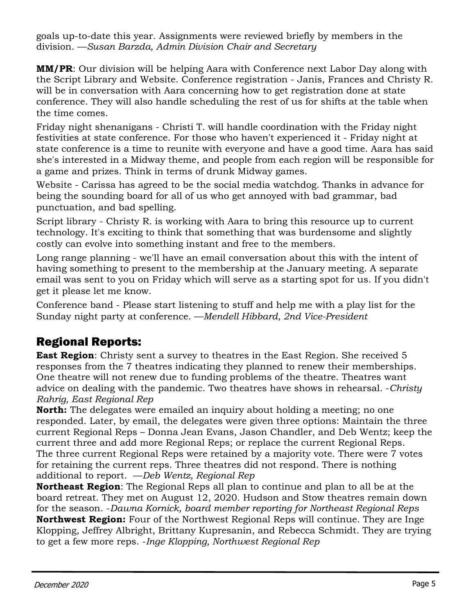goals up-to-date this year. Assignments were reviewed briefly by members in the division. —*Susan Barzda, Admin Division Chair and Secretary*

**MM/PR**: Our division will be helping Aara with Conference next Labor Day along with the Script Library and Website. Conference registration - Janis, Frances and Christy R. will be in conversation with Aara concerning how to get registration done at state conference. They will also handle scheduling the rest of us for shifts at the table when the time comes.

Friday night shenanigans - Christi T. will handle coordination with the Friday night festivities at state conference. For those who haven't experienced it - Friday night at state conference is a time to reunite with everyone and have a good time. Aara has said she's interested in a Midway theme, and people from each region will be responsible for a game and prizes. Think in terms of drunk Midway games.

Website - Carissa has agreed to be the social media watchdog. Thanks in advance for being the sounding board for all of us who get annoyed with bad grammar, bad punctuation, and bad spelling.

Script library - Christy R. is working with Aara to bring this resource up to current technology. It's exciting to think that something that was burdensome and slightly costly can evolve into something instant and free to the members.

Long range planning - we'll have an email conversation about this with the intent of having something to present to the membership at the January meeting. A separate email was sent to you on Friday which will serve as a starting spot for us. If you didn't get it please let me know.

Conference band - Please start listening to stuff and help me with a play list for the Sunday night party at conference. —*Mendell Hibbard, 2nd Vice-President*

## Regional Reports:

**East Region**: Christy sent a survey to theatres in the East Region. She received 5 responses from the 7 theatres indicating they planned to renew their memberships. One theatre will not renew due to funding problems of the theatre. Theatres want advice on dealing with the pandemic. Two theatres have shows in rehearsal. -*Christy Rahrig, East Regional Rep*

**North:** The delegates were emailed an inquiry about holding a meeting; no one responded. Later, by email, the delegates were given three options: Maintain the three current Regional Reps – Donna Jean Evans, Jason Chandler, and Deb Wentz; keep the current three and add more Regional Reps; or replace the current Regional Reps. The three current Regional Reps were retained by a majority vote. There were 7 votes for retaining the current reps. Three theatres did not respond. There is nothing additional to report. —*Deb Wentz, Regional Rep*

**Northeast Region**: The Regional Reps all plan to continue and plan to all be at the board retreat. They met on August 12, 2020. Hudson and Stow theatres remain down for the season. -*Dawna Kornick, board member reporting for Northeast Regional Reps*  **Northwest Region:** Four of the Northwest Regional Reps will continue. They are Inge Klopping, Jeffrey Albright, Brittany Kupresanin, and Rebecca Schmidt. They are trying to get a few more reps. -*Inge Klopping, Northwest Regional Rep*